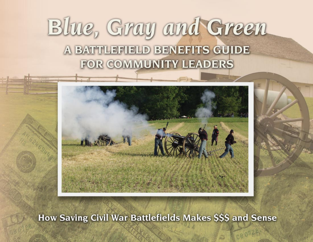# Blue, Gray and Green A BATTLEFIELD BENEFITS GUIDE FOR COMMUNITY LEADERS



How Saving Civil War Battlefields Makes \$\$\$ and Sense

CB 0728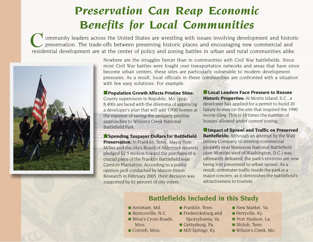## *Preservation Can Reap Economic Benefits for Local Communities*

ommunity leaders across the United States are wrestling with issues involving development and historic  $\prime$  preservation. The trade-offs between preserving historic places and encouraging new commercial and residential development are at the center of policy and zoning battles in urban and rural communities alike.



Nowhere are the struggles fiercer than in communities with Civil War battlefields. Since most Civil War battles were fought over transportation networks and areas that have since become urban centers, these sites are particularly vulnerable to modern development pressures. As a result, local officials in these communities are confronted with a situation with few easy solutions. For example:

■ **Population Growth Affects Pristine Sites:** County supervisors in Republic, Mo. (pop. 8,400) are faced with the dilemma of approving a developer's plan that will add 1,930 homes at the expense of saving the uniquely pristine approaches to Wilson's Creek National Battlefield Park.

■ **Spending Taxpayer Dollars for Battlefield Preservation:** In Franklin, Tenn., Mayor Tom Miller and the city's Board of Aldermen recently pledged \$2.5 million toward the purchase of a crucial piece of the Franklin Battlefield near Carnton Plantation. According to a public opinion poll conducted by Mason-Dixon Research in February 2005, their decision was supported by 61 percent of city voters.

■ **Local Leaders Face Pressure to Rezone Historic Properties:** At Morris Island, S.C., a developer has applied for a permit to build 20 luxury homes on the site that inspired the 1990 movie *Glory*. This is 10 times the number of houses allowed under current zoning.

■ **Impact of Sprawl and Traffic on Preserved Battlefields:** Although an attempt by the Walt Disney Company to develop commercial property near Manassas National Battlefield (just 30 miles west of Washington, D.C.) was ultimately defeated, the park's environs are now being lost piecemeal to urban sprawl. As a result, commuter traffic inside the park is a major concern, as it diminishes the battlefield's attractiveness to tourists.

#### **Battlefields Included in this Study**

- Antietam, Md.
- Bentonville, N.C.
- Brice's Cross Roads, **Miss**
- Corinth, Miss.
- Franklin, Tenn.
- Fredericksburg and Spotsylvania, Va.
- Gettysburg, Pa.
- Mill Springs, Ky.
- New Market, Va.
- Perryville, Ky.
- Port Hudson, La.
- Shiloh, Tenn.
- Wilson's Creek, Mo.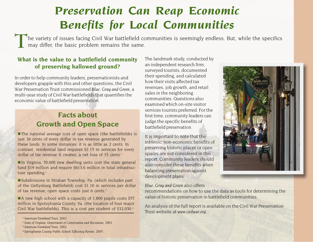## *Preservation Can Reap Economic Benefits for Local Communities*

The variety of issues facing Civil War battlefield communities is seemingly endless. But, while the specifics may differ, the basic problem remains the same.

#### **What is the value to a battlefield community of preserving hallowed ground?**

In order to help community leaders, preservationists and developers grapple with this and other questions, the Civil War Preservation Trust commissioned *Blue, Gray and Green*, a multi-year study of Civil War battlefields that quantifies the economic value of battlefield preservation.

### **Facts about Growth and Open Space**

■ The national average cost of open space (like battlefields) is just 36 cents of every dollar in tax revenue generated by these lands. In some instances, it is as little as 2 cents. In contrast, residential land requires \$1.15 in services for every dollar of tax revenue it creates, a net loss of 15 cents.<sup>1</sup>

■ In Virginia, 70,000 new dwelling units cost the state general fund \$19 million and require \$613.6 million in total infrastructure spending. $2$ 

■ Subdivisions in Straban Township, Pa. (which includes part of the Gettysburg Battlefield) cost \$1.10 in services per dollar of tax revenue; open space costs just 6 cents.<sup>3</sup>

■ A new high school with a capacity of 1,800 pupils costs \$57 million in Spotsylvania County, Va. (the location of four major Civil War battlefields). This is a cost per student of \$32,030.4

<sup>1</sup> *American Farmland Trust, 2002.*

- <sup>2</sup> *State of Virginia, Department of Conservation and Recreation, 2001.*
- <sup>3</sup> *American Farmland Trust, 2002.*

The landmark study, conducted by an independent research firm, surveyed tourists, documented their spending, and calculated how their visits affected tax revenues, job growth, and retail sales in the neighboring communities. Questions also examined which on-site visitor services tourists preferred. For the first time, community leaders can judge the specific benefits of battlefield preservation.

It is important to note that the intrinsic, non-economic benefits of preserving historic places or open spaces are not considered in this report. Community leaders should also consider these benefits when balancing preservation against development plans.



#### *Blue, Gray and Green* also offers

recommendations on how to use the data as tools for determining the value of historic preservation in battlefield communities.

An analysis of the full report is available on the Civil War Preservation Trust website at *www.civilwar.org.*

<sup>4</sup> *Spotsylvania County Public Schools Efficiency Review, 2005.*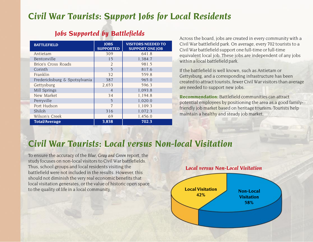## *Civil War Tourists: Support Jobs for Local Residents*

### *Jobs Supported by Battlefields*

| <b>BATTLEFIELD</b>            | <b>JOBS</b><br><b>SUPPORTED</b> | <b>VISITORS NEEDED TO</b><br><b>SUPPORT ONE JOB</b> |  |
|-------------------------------|---------------------------------|-----------------------------------------------------|--|
| Antietam                      | 309                             | 641.8                                               |  |
| Bentonville                   | 15                              | 1,384.7                                             |  |
| Brice's Cross Roads           | $\overline{2}$                  | 981.5                                               |  |
| Corinth                       | 5                               | 817.6                                               |  |
| Franklin                      | 32                              | 559.8                                               |  |
| Fredericksburg & Spotsylvania | 387                             | 965.0                                               |  |
| Gettysburg                    | 2,653                           | 596.3                                               |  |
| Mill Springs                  | $\overline{4}$                  | 1,093.8                                             |  |
| New Market                    | 34                              | 1,194.8                                             |  |
| Perryville                    | 5                               | 1,020.0                                             |  |
| Port Hudson                   | 7                               | 1,109.3                                             |  |
| Shiloh                        | 316                             | 1,072.3                                             |  |
| Wilson's Creek                | 69                              | 1,456.0                                             |  |
| <b>Total/Average</b>          | 3,838                           | 702.3                                               |  |

Across the board, jobs are created in every community with a Civil War battlefield park. On average, every 702 tourists to a Civil War battlefield support one full-time or full-time equivalent local job. These jobs are independent of any jobs within a local battlefield park.

If the battlefield is well known, such as Antietam or Gettysburg, and a corresponding infrastructure has been created to attract tourists, fewer Civil War visitors than average are needed to support new jobs.

**Recommendation:** Battlefield communities can attract potential employees by positioning the area as a good familyfriendly job market based on heritage tourism. Tourists help maintain a healthy and steady job market.

## *Civil War Tourists: Local versus Non-local Visitation*

To ensure the accuracy of the *Blue, Gray and Green* report, the study focuses on non-local visitors to Civil War battlefields. Thus, school groups and local residents visiting the battlefield were not included in the results. However, this should not diminish the very real economic benefits that local visitation generates, or the value of historic open space to the quality of life in a local community.

#### *Local versus Non-Local Visitation*

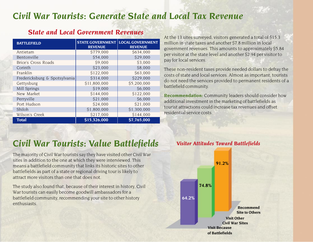## *Civil War Tourists: Generate State and Local Tax Revenue*

| <b>STATE GOVERNMENT   LOCAL GOVERNMENT</b><br><b>REVENUE</b> | <b>REVENUE</b> |
|--------------------------------------------------------------|----------------|
| \$779,000                                                    | \$634,000      |
| \$54,000                                                     | \$29,000       |
| \$9,000                                                      | \$3,000        |
| \$23,000                                                     | \$8,000        |
| \$122,000                                                    | \$63,000       |
| \$314,000                                                    | \$229,000      |
| \$11,800,000                                                 | \$5,200,000    |
| \$19,000                                                     | \$6,000        |
| \$144,000                                                    | \$122,000      |
| \$21,000                                                     | \$6,000        |
| \$24,000                                                     | \$21,000       |
| \$1,800,000                                                  | \$1,300,000    |
| \$217,000                                                    | \$144,000      |
| \$15,326,000                                                 | \$7,765,000    |
| Fredericksburg & Spotsylvania                                |                |

#### *State and Local Government Revenues*

At the 13 sites surveyed, visitors generated a total of \$15.3 million in state taxes and another \$7.8 million in local government revenues. This amounts to approximately \$5.84 per visitor at the state level and another \$2.94 per visitor to pay for local services.

These non-resident taxes provide needed dollars to defray the costs of state and local services. Almost as important, tourists do not need the services provided to permanent residents of a battlefield community.

**Recommendation:** Community leaders should consider how additional investment in the marketing of battlefields as tourist attractions could increase tax revenues and offset residential service costs.

## *Civil War Tourists: Value Battlefields*

The majority of Civil War tourists say they have visited other Civil War sites in addition to the one at which they were interviewed. This means a battlefield community that links its historic sites to other battlefields as part of a state or regional driving tour is likely to attract more visitors than one that does not.

The study also found that, because of their interest in history, Civil War tourists can easily become goodwill ambassadors for a battlefield community, recommending your site to other history enthusiasts.

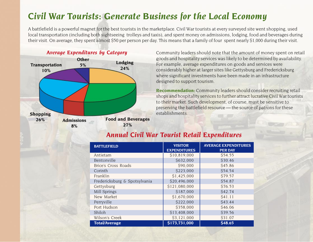## *Civil War Tourists: Generate Business for the Local Economy*

A battlefield is a powerful magnet for the best tourists in the marketplace. Civil War tourists at every surveyed site went shopping, used local transportation (including both sightseeing trolleys and taxis), and spent money on admissions, lodging, food and beverages during their visit. On average, they spent almost \$50 per person per day. This means that a family of four spent nearly \$1,000 during their visit.



#### *Average Expenditures by Category*

Community leaders should note that the amount of money spent on retail goods and hospitality services was likely to be determined by availability. For example, average expenditures on goods and services were considerably higher at larger sites like Gettysburg and Fredericksburg where significant investments have been made in an infrastructure designed to support tourism.

**Recommendation:** Community leaders should consider recruiting retail shops and hospitality services to further attract lucrative Civil War tourists to their market. Such development, of course, must be sensitive to preserving the battlefield resource — the source of patrons for these establishments.

| <b>BATTLEFIELD</b>            | <b>VISITOR</b><br><b>EXPENDITURES</b> | <b>AVERAGE EXPENDITURES</b><br><b>PER DAY</b> |  |
|-------------------------------|---------------------------------------|-----------------------------------------------|--|
| Antietam                      | \$10,819,000                          | \$54.55                                       |  |
| Bentonville                   | \$632,000                             | \$30.46                                       |  |
| <b>Brice's Cross Roads</b>    | \$90,000                              | \$45.86                                       |  |
| Corinth                       | \$223,000                             | S54.54                                        |  |
| Franklin                      | \$1,425,000                           | S79.57                                        |  |
| Fredericksburg & Spotsylvania | \$20,496,000                          | <b>S54.87</b>                                 |  |
| Gettysburg                    | \$121,080,000                         | \$76.53                                       |  |
| Mill Springs                  | \$187,000                             | <b>S42.74</b>                                 |  |
| New Market                    | \$1,670,000                           | S41.11                                        |  |
| Perryville                    | \$222,000                             | S43.44                                        |  |
| Port Hudson                   | \$358,000                             | \$46.06                                       |  |
| Shiloh                        | \$13,408,000                          | \$39.56                                       |  |
| Wilson's Creek                | \$3,121,000                           | \$31.07                                       |  |
| <b>Total/Average</b>          | \$173,731,000                         | \$48.65                                       |  |

#### *Annual Civil War Tourist Retail Expenditures*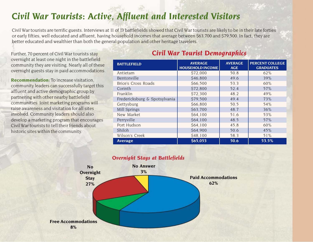## *Civil War Tourists: Active, Affluent and Interested Visitors*

Civil War tourists are terrific guests. Interviews at 11 of 13 battlefields showed that Civil War tourists are likely to be in their late forties or early fifties, well educated and affluent, having household incomes that average between \$63,700 and \$79,500. In fact, they are better educated and wealthier than both the general population and other heritage travelers.

Further, 70 percent of Civil War tourists stay overnight at least one night in the battlefield community they are visiting. Nearly all of these overnight guests stay in paid accommodations.

**Recommendation:** To increase visitation, community leaders can successfully target this affluent and active demographic group by partnering with other nearby battlefield communities. Joint marketing programs will raise awareness and visitation for all sites involved. Community leaders should also develop a marketing program that encourages Civil War tourists to tell their friends about historic sites within the community.

#### *Civil War Tourist Demographics*

| <b>BATTLEFIELD</b>            | <b>AVERAGE</b><br><b>HOUSEHOLD INCOME</b> | <b>AVERAGE</b><br><b>AGE</b> | <b>PERCENT COLLEGE</b><br><b>GRADUATES</b> |
|-------------------------------|-------------------------------------------|------------------------------|--------------------------------------------|
| Antietam                      | \$72,000                                  | 50.8                         | 62%                                        |
| Bentonville                   | \$46,800                                  | 49.6                         | 39%                                        |
| Brice's Cross Roads           | \$66,500                                  | 53.3                         | 60%                                        |
| Corinth                       | \$72,800                                  | 52.4                         | 57%                                        |
| Franklin                      | \$72,300                                  | 48.2                         | 49%                                        |
| Fredericksburg & Spotsylvania | \$79,500                                  | 49.4                         | 73%                                        |
| Gettysburg                    | \$66,800                                  | 50.5                         | 54%                                        |
| Mill Springs                  | \$63,700                                  | 48.7                         | 36%                                        |
| New Market                    | \$64,100                                  | 51.6                         | 53%                                        |
| Perryville                    | \$64,100                                  | 48.5                         | 57%                                        |
| Port Hudson                   | \$64,100                                  | 45.8                         | 60%                                        |
| Shiloh                        | \$64,900                                  | 50.6                         | 45%                                        |
| Wilson's Creek                | \$48,100                                  | 58.3                         | 51%                                        |
| <b>Average</b>                | \$65,053                                  | 50.6                         | 53.5%                                      |